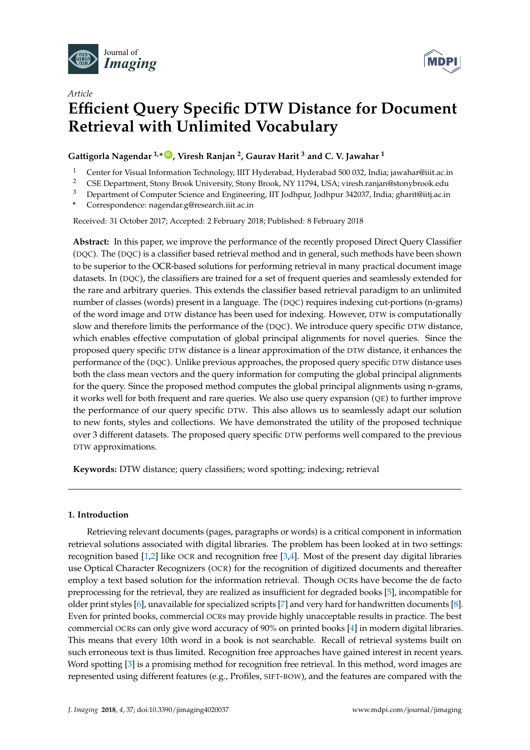



# *Article* **Efficient Query Specific DTW Distance for Document Retrieval with Unlimited Vocabulary**

# **Gattigorla Nagendar 1,\* ID , Viresh Ranjan <sup>2</sup> , Gaurav Harit <sup>3</sup> and C. V. Jawahar <sup>1</sup>**

- 1 Center for Visual Information Technology, IIIT Hyderabad, Hyderabad 500 032, India; jawahar@iiit.ac.in<br>2 CSE Department Stopy Brook University Stopy Brook NV 11794 USA: viresh papien@stopybrook.edu
- <sup>2</sup> CSE Department, Stony Brook University, Stony Brook, NY 11794, USA; viresh.ranjan@stonybrook.edu
- <sup>3</sup> Department of Computer Science and Engineering, IIT Jodhpur, Jodhpur 342037, India; gharit@iitj.ac.in
- **\*** Correspondence: nagendar.g@research.iiit.ac.in

Received: 31 October 2017; Accepted: 2 February 2018; Published: 8 February 2018

**Abstract:** In this paper, we improve the performance of the recently proposed Direct Query Classifier (DQC). The (DQC) is a classifier based retrieval method and in general, such methods have been shown to be superior to the OCR-based solutions for performing retrieval in many practical document image datasets. In (DQC), the classifiers are trained for a set of frequent queries and seamlessly extended for the rare and arbitrary queries. This extends the classifier based retrieval paradigm to an unlimited number of classes (words) present in a language. The (DQC) requires indexing cut-portions (n-grams) of the word image and DTW distance has been used for indexing. However, DTW is computationally slow and therefore limits the performance of the (DQC). We introduce query specific DTW distance, which enables effective computation of global principal alignments for novel queries. Since the proposed query specific DTW distance is a linear approximation of the DTW distance, it enhances the performance of the (DQC). Unlike previous approaches, the proposed query specific DTW distance uses both the class mean vectors and the query information for computing the global principal alignments for the query. Since the proposed method computes the global principal alignments using n-grams, it works well for both frequent and rare queries. We also use query expansion  $(QE)$  to further improve the performance of our query specific DTW. This also allows us to seamlessly adapt our solution to new fonts, styles and collections. We have demonstrated the utility of the proposed technique over 3 different datasets. The proposed query specific DTW performs well compared to the previous DTW approximations.

**Keywords:** DTW distance; query classifiers; word spotting; indexing; retrieval

# **1. Introduction**

Retrieving relevant documents (pages, paragraphs or words) is a critical component in information retrieval solutions associated with digital libraries. The problem has been looked at in two settings: recognition based [1,2] like OCR and recognition free [3,4]. Most of the present day digital libraries use Optical Character Recognizers (OCR) for the recognition of digitized documents and thereafter employ a text based solution for the information retrieval. Though OCRs have become the de facto preprocessing for the retrieval, they are realized as insufficient for degraded books [5], incompatible for older print styles [6], unavailable for specialized scripts [7] and very hard for handwritten documents [8]. Even for printed books, commercial OCRs may provide highly unacceptable results in practice. The best commercial OCRs can only give word accuracy of 90% on printed books [4] in modern digital libraries. This means that every 10th word in a book is not searchable. Recall of retrieval systems built on such erroneous text is thus limited. Recognition free approaches have gained interest in recent years. Word spotting [3] is a promising method for recognition free retrieval. In this method, word images are represented using different features (e.g., Profiles, SIFT-BOW), and the features are compared with the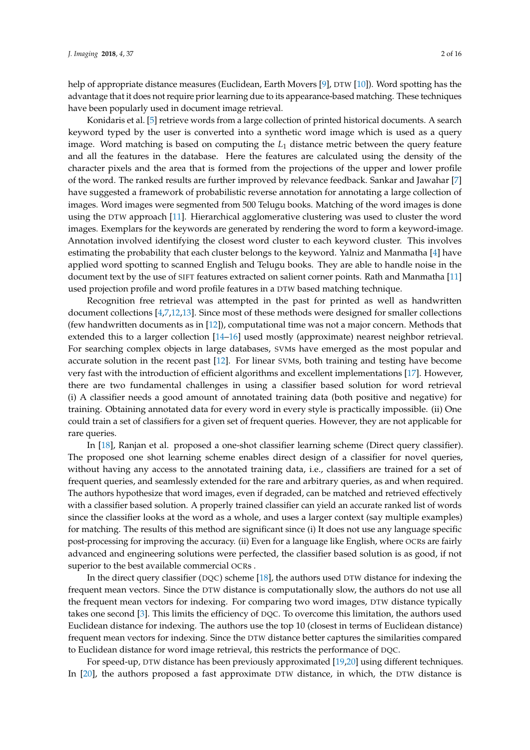help of appropriate distance measures (Euclidean, Earth Movers [9], DTW [10]). Word spotting has the advantage that it does not require prior learning due to its appearance-based matching. These techniques have been popularly used in document image retrieval.

Konidaris et al. [5] retrieve words from a large collection of printed historical documents. A search keyword typed by the user is converted into a synthetic word image which is used as a query image. Word matching is based on computing the *L*<sup>1</sup> distance metric between the query feature and all the features in the database. Here the features are calculated using the density of the character pixels and the area that is formed from the projections of the upper and lower profile of the word. The ranked results are further improved by relevance feedback. Sankar and Jawahar [7] have suggested a framework of probabilistic reverse annotation for annotating a large collection of images. Word images were segmented from 500 Telugu books. Matching of the word images is done using the DTW approach [11]. Hierarchical agglomerative clustering was used to cluster the word images. Exemplars for the keywords are generated by rendering the word to form a keyword-image. Annotation involved identifying the closest word cluster to each keyword cluster. This involves estimating the probability that each cluster belongs to the keyword. Yalniz and Manmatha [4] have applied word spotting to scanned English and Telugu books. They are able to handle noise in the document text by the use of SIFT features extracted on salient corner points. Rath and Manmatha [11] used projection profile and word profile features in a DTW based matching technique.

Recognition free retrieval was attempted in the past for printed as well as handwritten document collections [4,7,12,13]. Since most of these methods were designed for smaller collections (few handwritten documents as in [12]), computational time was not a major concern. Methods that extended this to a larger collection [14–16] used mostly (approximate) nearest neighbor retrieval. For searching complex objects in large databases, SVMs have emerged as the most popular and accurate solution in the recent past [12]. For linear SVMs, both training and testing have become very fast with the introduction of efficient algorithms and excellent implementations [17]. However, there are two fundamental challenges in using a classifier based solution for word retrieval (i) A classifier needs a good amount of annotated training data (both positive and negative) for training. Obtaining annotated data for every word in every style is practically impossible. (ii) One could train a set of classifiers for a given set of frequent queries. However, they are not applicable for rare queries.

In [18], Ranjan et al. proposed a one-shot classifier learning scheme (Direct query classifier). The proposed one shot learning scheme enables direct design of a classifier for novel queries, without having any access to the annotated training data, i.e., classifiers are trained for a set of frequent queries, and seamlessly extended for the rare and arbitrary queries, as and when required. The authors hypothesize that word images, even if degraded, can be matched and retrieved effectively with a classifier based solution. A properly trained classifier can yield an accurate ranked list of words since the classifier looks at the word as a whole, and uses a larger context (say multiple examples) for matching. The results of this method are significant since (i) It does not use any language specific post-processing for improving the accuracy. (ii) Even for a language like English, where OCRs are fairly advanced and engineering solutions were perfected, the classifier based solution is as good, if not superior to the best available commercial OCRs .

In the direct query classifier (DQC) scheme [18], the authors used DTW distance for indexing the frequent mean vectors. Since the DTW distance is computationally slow, the authors do not use all the frequent mean vectors for indexing. For comparing two word images, DTW distance typically takes one second [3]. This limits the efficiency of DQC. To overcome this limitation, the authors used Euclidean distance for indexing. The authors use the top 10 (closest in terms of Euclidean distance) frequent mean vectors for indexing. Since the DTW distance better captures the similarities compared to Euclidean distance for word image retrieval, this restricts the performance of DQC.

For speed-up, DTW distance has been previously approximated [19,20] using different techniques. In [20], the authors proposed a fast approximate DTW distance, in which, the DTW distance is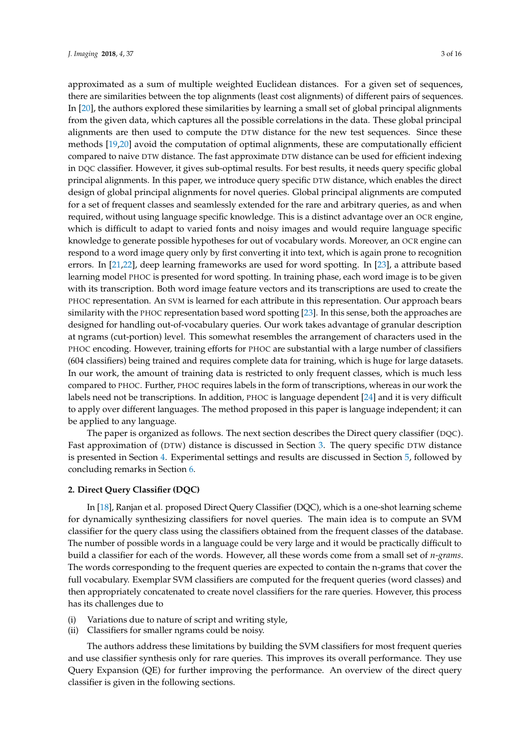approximated as a sum of multiple weighted Euclidean distances. For a given set of sequences, there are similarities between the top alignments (least cost alignments) of different pairs of sequences. In [20], the authors explored these similarities by learning a small set of global principal alignments from the given data, which captures all the possible correlations in the data. These global principal alignments are then used to compute the DTW distance for the new test sequences. Since these methods [19,20] avoid the computation of optimal alignments, these are computationally efficient compared to naive DTW distance. The fast approximate DTW distance can be used for efficient indexing in DQC classifier. However, it gives sub-optimal results. For best results, it needs query specific global principal alignments. In this paper, we introduce query specific DTW distance, which enables the direct design of global principal alignments for novel queries. Global principal alignments are computed for a set of frequent classes and seamlessly extended for the rare and arbitrary queries, as and when required, without using language specific knowledge. This is a distinct advantage over an OCR engine, which is difficult to adapt to varied fonts and noisy images and would require language specific knowledge to generate possible hypotheses for out of vocabulary words. Moreover, an OCR engine can respond to a word image query only by first converting it into text, which is again prone to recognition errors. In [21,22], deep learning frameworks are used for word spotting. In [23], a attribute based learning model PHOC is presented for word spotting. In training phase, each word image is to be given with its transcription. Both word image feature vectors and its transcriptions are used to create the PHOC representation. An SVM is learned for each attribute in this representation. Our approach bears similarity with the PHOC representation based word spotting [23]. In this sense, both the approaches are designed for handling out-of-vocabulary queries. Our work takes advantage of granular description at ngrams (cut-portion) level. This somewhat resembles the arrangement of characters used in the PHOC encoding. However, training efforts for PHOC are substantial with a large number of classifiers (604 classifiers) being trained and requires complete data for training, which is huge for large datasets. In our work, the amount of training data is restricted to only frequent classes, which is much less compared to PHOC. Further, PHOC requires labels in the form of transcriptions, whereas in our work the labels need not be transcriptions. In addition, PHOC is language dependent [24] and it is very difficult to apply over different languages. The method proposed in this paper is language independent; it can be applied to any language.

The paper is organized as follows. The next section describes the Direct query classifier (DQC). Fast approximation of (DTW) distance is discussed in Section 3. The query specific DTW distance is presented in Section 4. Experimental settings and results are discussed in Section 5, followed by concluding remarks in Section 6.

#### **2. Direct Query Classifier (DQC)**

In [18], Ranjan et al. proposed Direct Query Classifier (DQC), which is a one-shot learning scheme for dynamically synthesizing classifiers for novel queries. The main idea is to compute an SVM classifier for the query class using the classifiers obtained from the frequent classes of the database. The number of possible words in a language could be very large and it would be practically difficult to build a classifier for each of the words. However, all these words come from a small set of *n-grams*. The words corresponding to the frequent queries are expected to contain the n-grams that cover the full vocabulary. Exemplar SVM classifiers are computed for the frequent queries (word classes) and then appropriately concatenated to create novel classifiers for the rare queries. However, this process has its challenges due to

- (i) Variations due to nature of script and writing style,
- (ii) Classifiers for smaller ngrams could be noisy.

The authors address these limitations by building the SVM classifiers for most frequent queries and use classifier synthesis only for rare queries. This improves its overall performance. They use Query Expansion (QE) for further improving the performance. An overview of the direct query classifier is given in the following sections.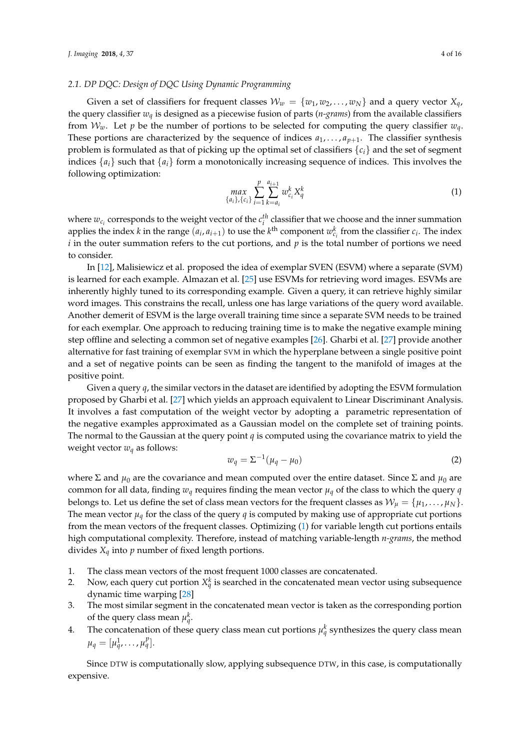#### *2.1. DP DQC: Design of DQC Using Dynamic Programming*

Given a set of classifiers for frequent classes  $W_w = \{w_1, w_2, \dots, w_N\}$  and a query vector  $X_q$ , the query classifier *wq* is designed as a piecewise fusion of parts (*n-grams*) from the available classifiers from  $W_w$ . Let *p* be the number of portions to be selected for computing the query classifier  $w_q$ . These portions are characterized by the sequence of indices  $a_1, \ldots, a_{p+1}$ . The classifier synthesis problem is formulated as that of picking up the optimal set of classifiers {*ci*} and the set of segment indices  $\{a_i\}$  such that  $\{a_i\}$  form a monotonically increasing sequence of indices. This involves the following optimization:

$$
\max_{\{a_i\},\{c_i\}} \sum_{i=1}^p \sum_{k=a_i}^{a_{i+1}} w_{c_i}^k X_q^k \tag{1}
$$

where  $w_{c_i}$  corresponds to the weight vector of the  $c_i^{th}$  classifier that we choose and the inner summation applies the index *k* in the range  $(a_i, a_{i+1})$  to use the *k*<sup>th</sup> component  $w_{c_i}^k$  from the classifier  $c_i$ . The index *i* in the outer summation refers to the cut portions, and *p* is the total number of portions we need to consider.

In [12], Malisiewicz et al. proposed the idea of exemplar SVEN (ESVM) where a separate (SVM) is learned for each example. Almazan et al. [25] use ESVMs for retrieving word images. ESVMs are inherently highly tuned to its corresponding example. Given a query, it can retrieve highly similar word images. This constrains the recall, unless one has large variations of the query word available. Another demerit of ESVM is the large overall training time since a separate SVM needs to be trained for each exemplar. One approach to reducing training time is to make the negative example mining step offline and selecting a common set of negative examples [26]. Gharbi et al. [27] provide another alternative for fast training of exemplar SVM in which the hyperplane between a single positive point and a set of negative points can be seen as finding the tangent to the manifold of images at the positive point.

Given a query *q*, the similar vectors in the dataset are identified by adopting the ESVM formulation proposed by Gharbi et al. [27] which yields an approach equivalent to Linear Discriminant Analysis. It involves a fast computation of the weight vector by adopting a parametric representation of the negative examples approximated as a Gaussian model on the complete set of training points. The normal to the Gaussian at the query point *q* is computed using the covariance matrix to yield the weight vector  $w_q$  as follows:

$$
w_q = \Sigma^{-1}(\mu_q - \mu_0) \tag{2}
$$

where Σ and  $μ_0$  are the covariance and mean computed over the entire dataset. Since Σ and  $μ_0$  are common for all data, finding  $w_q$  requires finding the mean vector  $\mu_q$  of the class to which the query  $q$ belongs to. Let us define the set of class mean vectors for the frequent classes as  $W_{\mu} = {\mu_1, \dots, \mu_N}$ . The mean vector  $\mu_q$  for the class of the query *q* is computed by making use of appropriate cut portions from the mean vectors of the frequent classes. Optimizing (1) for variable length cut portions entails high computational complexity. Therefore, instead of matching variable-length *n-grams*, the method divides  $X_q$  into  $p$  number of fixed length portions.

- 1. The class mean vectors of the most frequent 1000 classes are concatenated.
- 2. Now, each query cut portion  $X_q^k$  is searched in the concatenated mean vector using subsequence dynamic time warping [28]
- 3. The most similar segment in the concatenated mean vector is taken as the corresponding portion of the query class mean  $\mu_q^k$ .
- 4. The concatenation of these query class mean cut portions  $\mu_q^k$  synthesizes the query class mean  $\mu_q = [\mu_q^1, \ldots, \mu_q^p].$

Since DTW is computationally slow, applying subsequence DTW, in this case, is computationally expensive.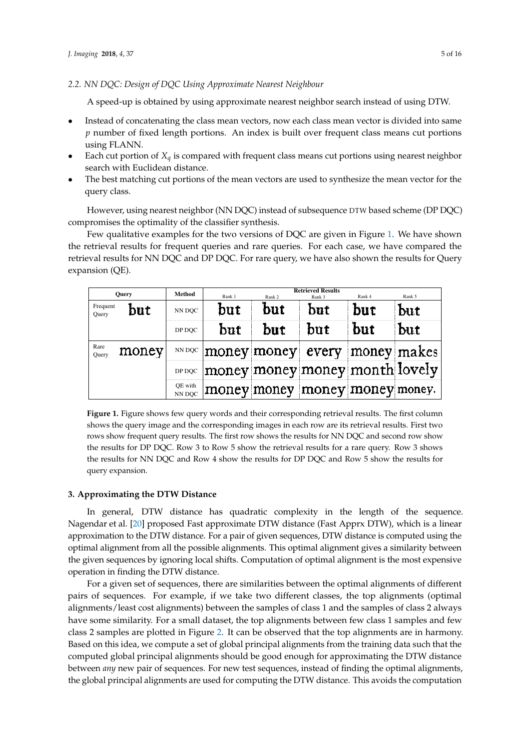*2.2. NN DQC: Design of DQC Using Approximate Nearest Neighbour*

A speed-up is obtained by using approximate nearest neighbor search instead of using DTW.

- Instead of concatenating the class mean vectors, now each class mean vector is divided into same *p* number of fixed length portions. An index is built over frequent class means cut portions using FLANN.
- Each cut portion of  $X_q$  is compared with frequent class means cut portions using nearest neighbor search with Euclidean distance.
- The best matching cut portions of the mean vectors are used to synthesize the mean vector for the query class.

However, using nearest neighbor (NN DQC) instead of subsequence DTW based scheme (DP DQC) compromises the optimality of the classifier synthesis.

Few qualitative examples for the two versions of DQC are given in Figure 1. We have shown the retrieval results for frequent queries and rare queries. For each case, we have compared the retrieval results for NN DQC and DP DQC. For rare query, we have also shown the results for Query expansion (QE).

| <b>Ouery</b>      |               | <b>Method</b>     | Rank 1                                                                      | Rank 2 | <b>Retrieved Results</b><br>Rank 3 | Rank 4 | Rank 5 |
|-------------------|---------------|-------------------|-----------------------------------------------------------------------------|--------|------------------------------------|--------|--------|
| Frequent<br>Query | but<br>NN DOC |                   | but                                                                         | but    | but                                | but    | but    |
|                   |               | DP DQC            | but                                                                         | but    | but                                | but    | but    |
| Rare<br>Ouery     | money         | NN DQC            |                                                                             |        | money money every money makes      |        |        |
|                   |               | DP DQC            | $ \mathrm{money}  \mathrm{money} \mathrm{money} $ month $ \mathrm{lovely} $ |        |                                    |        |        |
|                   |               | QE with<br>NN DOC |                                                                             |        | money money money money money.     |        |        |

**Figure 1.** Figure shows few query words and their corresponding retrieval results. The first column shows the query image and the corresponding images in each row are its retrieval results. First two rows show frequent query results. The first row shows the results for NN DQC and second row show the results for DP DQC. Row 3 to Row 5 show the retrieval results for a rare query. Row 3 shows the results for NN DQC and Row 4 show the results for DP DQC and Row 5 show the results for query expansion.

# **3. Approximating the DTW Distance**

In general, DTW distance has quadratic complexity in the length of the sequence. Nagendar et al. [20] proposed Fast approximate DTW distance (Fast Apprx DTW), which is a linear approximation to the DTW distance. For a pair of given sequences, DTW distance is computed using the optimal alignment from all the possible alignments. This optimal alignment gives a similarity between the given sequences by ignoring local shifts. Computation of optimal alignment is the most expensive operation in finding the DTW distance.

For a given set of sequences, there are similarities between the optimal alignments of different pairs of sequences. For example, if we take two different classes, the top alignments (optimal alignments/least cost alignments) between the samples of class 1 and the samples of class 2 always have some similarity. For a small dataset, the top alignments between few class 1 samples and few class 2 samples are plotted in Figure 2. It can be observed that the top alignments are in harmony. Based on this idea, we compute a set of global principal alignments from the training data such that the computed global principal alignments should be good enough for approximating the DTW distance between *any* new pair of sequences. For new test sequences, instead of finding the optimal alignments, the global principal alignments are used for computing the DTW distance. This avoids the computation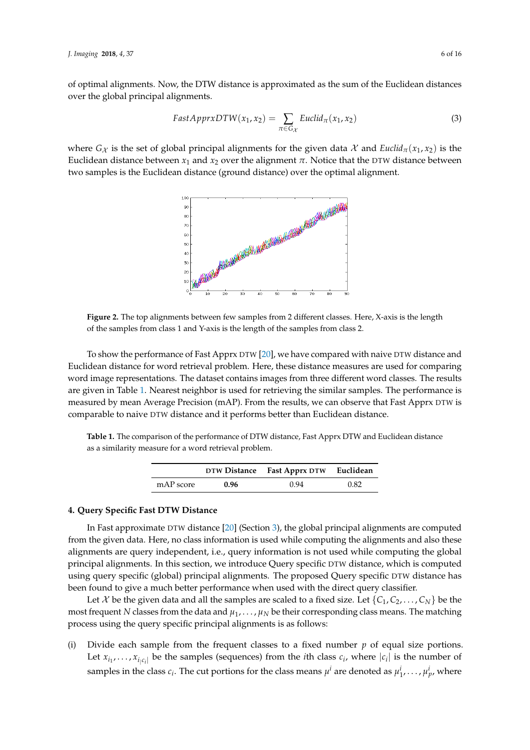of optimal alignments. Now, the DTW distance is approximated as the sum of the Euclidean distances over the global principal alignments.

$$
FastApproxDTW(x_1, x_2) = \sum_{\pi \in G_{\mathcal{X}}} Euclid_{\pi}(x_1, x_2)
$$
\n(3)

where  $G_X$  is the set of global principal alignments for the given data X and *Euclid*<sub> $\pi$ </sub>( $x_1, x_2$ ) is the Euclidean distance between  $x_1$  and  $x_2$  over the alignment  $π$ . Notice that the DTW distance between two samples is the Euclidean distance (ground distance) over the optimal alignment.



**Figure 2.** The top alignments between few samples from 2 different classes. Here, X-axis is the length of the samples from class 1 and Y-axis is the length of the samples from class 2.

To show the performance of Fast Apprx DTW [20], we have compared with naive DTW distance and Euclidean distance for word retrieval problem. Here, these distance measures are used for comparing word image representations. The dataset contains images from three different word classes. The results are given in Table 1. Nearest neighbor is used for retrieving the similar samples. The performance is measured by mean Average Precision (mAP). From the results, we can observe that Fast Apprx DTW is comparable to naive DTW distance and it performs better than Euclidean distance.

**Table 1.** The comparison of the performance of DTW distance, Fast Apprx DTW and Euclidean distance as a similarity measure for a word retrieval problem.

|           |      | DTW Distance Fast Apprx DTW | Euclidean |
|-----------|------|-----------------------------|-----------|
| mAP score | 0.96 | 0.94                        | 0.82      |

# **4. Query Specific Fast DTW Distance**

In Fast approximate DTW distance [20] (Section 3), the global principal alignments are computed from the given data. Here, no class information is used while computing the alignments and also these alignments are query independent, i.e., query information is not used while computing the global principal alignments. In this section, we introduce Query specific DTW distance, which is computed using query specific (global) principal alignments. The proposed Query specific DTW distance has been found to give a much better performance when used with the direct query classifier.

Let X be the given data and all the samples are scaled to a fixed size. Let  $\{C_1, C_2, \ldots, C_N\}$  be the most frequent *N* classes from the data and  $\mu_1, \ldots, \mu_N$  be their corresponding class means. The matching process using the query specific principal alignments is as follows:

(i) Divide each sample from the frequent classes to a fixed number  $p$  of equal size portions. Let  $x_{i_1}, \ldots, x_{i_{|C_i|}}$  be the samples (sequences) from the *i*th class  $c_i$ , where  $|c_i|$  is the number of samples in the class  $c_i$ . The cut portions for the class means  $\mu^i$  are denoted as  $\mu^i_1,\ldots,\mu^i_p$ , where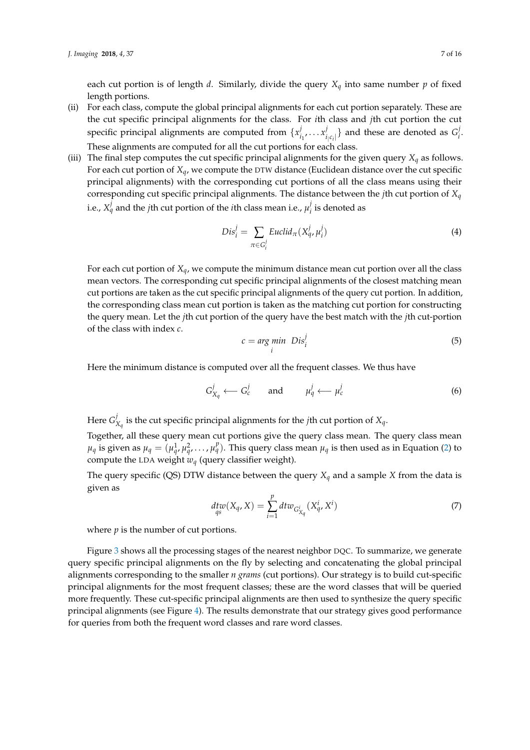each cut portion is of length *d*. Similarly, divide the query  $X_q$  into same number  $p$  of fixed length portions.

- (ii) For each class, compute the global principal alignments for each cut portion separately. These are the cut specific principal alignments for the class. For *i*th class and *j*th cut portion the cut specific principal alignments are computed from  $\{x_i^j\}$  $\sum_{i_1}^j \ldots x_i^j$  $\{f_i|c_i|\}$  and these are denoted as  $G_i^j$ *i* . These alignments are computed for all the cut portions for each class.
- (iii) The final step computes the cut specific principal alignments for the given query  $X_q$  as follows. For each cut portion of *Xq*, we compute the DTW distance (Euclidean distance over the cut specific principal alignments) with the corresponding cut portions of all the class means using their corresponding cut specific principal alignments. The distance between the *j*th cut portion of *Xq* i.e.,  $X^j_q$  and the *j*th cut portion of the *i*th class mean i.e.,  $\mu^j_i$  $i<sub>i</sub>$  is denoted as

$$
Dis_i^j = \sum_{\pi \in G_i^j} Euclid_{\pi}(X_q^j, \mu_i^j)
$$
\n(4)

For each cut portion of *Xq*, we compute the minimum distance mean cut portion over all the class mean vectors. The corresponding cut specific principal alignments of the closest matching mean cut portions are taken as the cut specific principal alignments of the query cut portion. In addition, the corresponding class mean cut portion is taken as the matching cut portion for constructing the query mean. Let the *j*th cut portion of the query have the best match with the *j*th cut-portion of the class with index *c*.

$$
c = \underset{i}{\arg\ min} \; Dis_i^j \tag{5}
$$

Here the minimum distance is computed over all the frequent classes. We thus have

$$
G_{X_q}^j \longleftarrow G_c^j \qquad \text{and} \qquad \mu_q^j \longleftarrow \mu_c^j \tag{6}
$$

Here *G j Xq* is the cut specific principal alignments for the *j*th cut portion of *Xq*.

Together, all these query mean cut portions give the query class mean. The query class mean  $\mu_q$  is given as  $\mu_q = (\mu_q^1, \mu_q^2, \dots, \mu_q^p)$ . This query class mean  $\mu_q$  is then used as in Equation (2) to compute the LDA weight *wq* (query classifier weight).

The query specific (QS) DTW distance between the query  $X_q$  and a sample  $X$  from the data is given as

$$
\begin{aligned} \n\text{dt}w(X_q, X) &= \sum_{i=1}^p \text{dt}w_{G_{X_q}^i}(X_q^i, X^i) \tag{7} \n\end{aligned}
$$

where  $p$  is the number of cut portions.

Figure 3 shows all the processing stages of the nearest neighbor DQC. To summarize, we generate query specific principal alignments on the fly by selecting and concatenating the global principal alignments corresponding to the smaller *n grams* (cut portions). Our strategy is to build cut-specific principal alignments for the most frequent classes; these are the word classes that will be queried more frequently. These cut-specific principal alignments are then used to synthesize the query specific principal alignments (see Figure 4). The results demonstrate that our strategy gives good performance for queries from both the frequent word classes and rare word classes.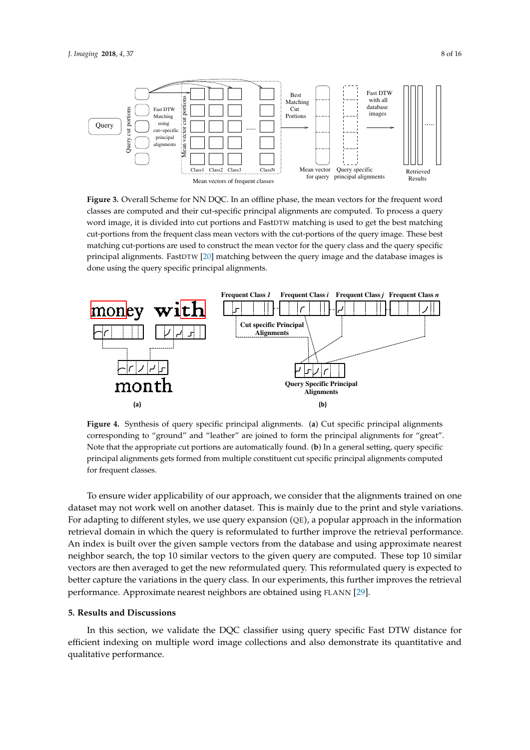

**Figure 3.** Overall Scheme for NN DQC. In an offline phase, the mean vectors for the frequent word classes are computed and their cut-specific principal alignments are computed. To process a query word image, it is divided into cut portions and FastDTW matching is used to get the best matching cut-portions from the frequent class mean vectors with the cut-portions of the query image. These best matching cut-portions are used to construct the mean vector for the query class and the query specific principal alignments. FastDTW [20] matching between the query image and the database images is done using the query specific principal alignments.



**Figure 4.** Synthesis of query specific principal alignments. (**a**) Cut specific principal alignments corresponding to "ground" and "leather" are joined to form the principal alignments for "great". Note that the appropriate cut portions are automatically found. (**b**) In a general setting, query specific principal alignments gets formed from multiple constituent cut specific principal alignments computed for frequent classes.

To ensure wider applicability of our approach, we consider that the alignments trained on one dataset may not work well on another dataset. This is mainly due to the print and style variations. For adapting to different styles, we use query expansion (QE), a popular approach in the information retrieval domain in which the query is reformulated to further improve the retrieval performance. An index is built over the given sample vectors from the database and using approximate nearest neighbor search, the top 10 similar vectors to the given query are computed. These top 10 similar vectors are then averaged to get the new reformulated query. This reformulated query is expected to better capture the variations in the query class. In our experiments, this further improves the retrieval performance. Approximate nearest neighbors are obtained using FLANN [29].

# **5. Results and Discussions**

In this section, we validate the DQC classifier using query specific Fast DTW distance for efficient indexing on multiple word image collections and also demonstrate its quantitative and qualitative performance.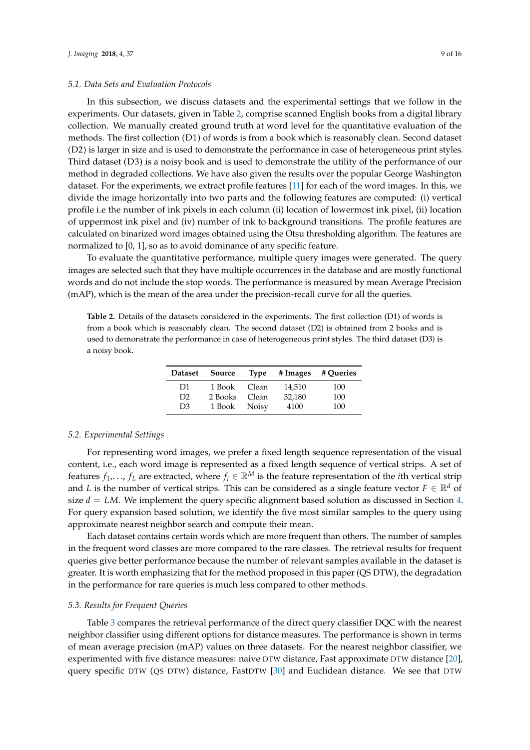#### *5.1. Data Sets and Evaluation Protocols*

In this subsection, we discuss datasets and the experimental settings that we follow in the experiments. Our datasets, given in Table 2, comprise scanned English books from a digital library collection. We manually created ground truth at word level for the quantitative evaluation of the methods. The first collection (D1) of words is from a book which is reasonably clean. Second dataset (D2) is larger in size and is used to demonstrate the performance in case of heterogeneous print styles. Third dataset (D3) is a noisy book and is used to demonstrate the utility of the performance of our method in degraded collections. We have also given the results over the popular George Washington dataset. For the experiments, we extract profile features [11] for each of the word images. In this, we divide the image horizontally into two parts and the following features are computed: (i) vertical profile i.e the number of ink pixels in each column (ii) location of lowermost ink pixel, (ii) location of uppermost ink pixel and (iv) number of ink to background transitions. The profile features are calculated on binarized word images obtained using the Otsu thresholding algorithm. The features are normalized to [0, 1], so as to avoid dominance of any specific feature.

To evaluate the quantitative performance, multiple query images were generated. The query images are selected such that they have multiple occurrences in the database and are mostly functional words and do not include the stop words. The performance is measured by mean Average Precision (mAP), which is the mean of the area under the precision-recall curve for all the queries.

**Table 2.** Details of the datasets considered in the experiments. The first collection (D1) of words is from a book which is reasonably clean. The second dataset (D2) is obtained from 2 books and is used to demonstrate the performance in case of heterogeneous print styles. The third dataset (D3) is a noisy book.

| <b>Dataset</b> | Source       | <b>Type</b>  | # Images | # Queries |
|----------------|--------------|--------------|----------|-----------|
| D <sub>1</sub> | 1 Book Clean |              | 14,510   | 100       |
| D2             | 2 Books      | Clean        | 32,180   | 100       |
| D <sub>3</sub> | 1 Book       | <b>Noisy</b> | 4100     | 100       |

#### *5.2. Experimental Settings*

For representing word images, we prefer a fixed length sequence representation of the visual content, i.e., each word image is represented as a fixed length sequence of vertical strips. A set of features  $f_1, \ldots, f_L$  are extracted, where  $f_i \in \mathbb{R}^M$  is the feature representation of the *i*th vertical strip and *L* is the number of vertical strips. This can be considered as a single feature vector  $F \in \mathbb{R}^d$  of size  $d = LM$ . We implement the query specific alignment based solution as discussed in Section 4. For query expansion based solution, we identify the five most similar samples to the query using approximate nearest neighbor search and compute their mean.

Each dataset contains certain words which are more frequent than others. The number of samples in the frequent word classes are more compared to the rare classes. The retrieval results for frequent queries give better performance because the number of relevant samples available in the dataset is greater. It is worth emphasizing that for the method proposed in this paper (QS DTW), the degradation in the performance for rare queries is much less compared to other methods.

#### *5.3. Results for Frequent Queries*

Table 3 compares the retrieval performance of the direct query classifier DQC with the nearest neighbor classifier using different options for distance measures. The performance is shown in terms of mean average precision (mAP) values on three datasets. For the nearest neighbor classifier, we experimented with five distance measures: naive DTW distance, Fast approximate DTW distance [20], query specific DTW (QS DTW) distance, FastDTW [30] and Euclidean distance. We see that DTW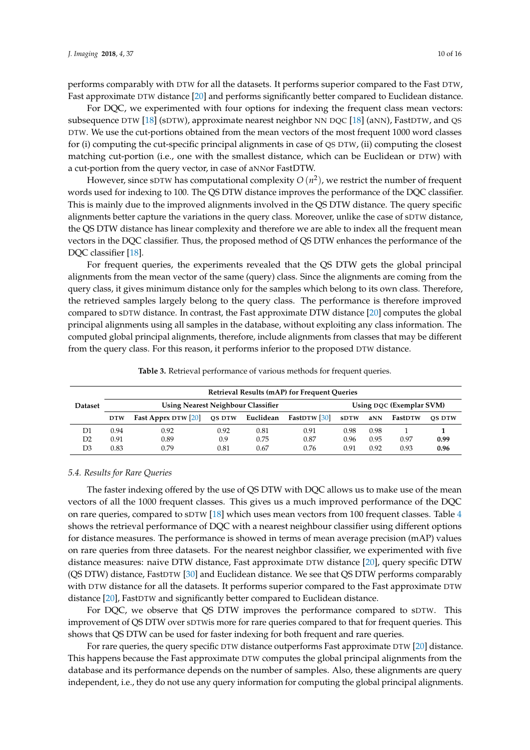performs comparably with DTW for all the datasets. It performs superior compared to the Fast DTW, Fast approximate DTW distance [20] and performs significantly better compared to Euclidean distance.

For DQC, we experimented with four options for indexing the frequent class mean vectors: subsequence DTW [18] (sDTW), approximate nearest neighbor NN DQC [18] (aNN), FastDTW, and QS DTW. We use the cut-portions obtained from the mean vectors of the most frequent 1000 word classes for (i) computing the cut-specific principal alignments in case of QS DTW, (ii) computing the closest matching cut-portion (i.e., one with the smallest distance, which can be Euclidean or DTW) with a cut-portion from the query vector, in case of aNNor FastDTW.

However, since sDTW has computational complexity *O* (*n* 2 ), we restrict the number of frequent words used for indexing to 100. The QS DTW distance improves the performance of the DQC classifier. This is mainly due to the improved alignments involved in the QS DTW distance. The query specific alignments better capture the variations in the query class. Moreover, unlike the case of sDTW distance, the QS DTW distance has linear complexity and therefore we are able to index all the frequent mean vectors in the DQC classifier. Thus, the proposed method of QS DTW enhances the performance of the DQC classifier [18].

For frequent queries, the experiments revealed that the QS DTW gets the global principal alignments from the mean vector of the same (query) class. Since the alignments are coming from the query class, it gives minimum distance only for the samples which belong to its own class. Therefore, the retrieved samples largely belong to the query class. The performance is therefore improved compared to sDTW distance. In contrast, the Fast approximate DTW distance [20] computes the global principal alignments using all samples in the database, without exploiting any class information. The computed global principal alignments, therefore, include alignments from classes that may be different from the query class. For this reason, it performs inferior to the proposed DTW distance.

|                |                                           |                     |        |           | <b>Retrieval Results (mAP) for Frequent Queries</b> |                          |      |         |               |
|----------------|-------------------------------------------|---------------------|--------|-----------|-----------------------------------------------------|--------------------------|------|---------|---------------|
| <b>Dataset</b> | <b>Using Nearest Neighbour Classifier</b> |                     |        |           |                                                     | Using DQC (Exemplar SVM) |      |         |               |
|                | <b>DTW</b>                                | Fast Apprx DTW [20] | QS DTW | Euclidean | <b>FastDTW</b> [30]                                 | <b>SDTW</b>              | aNN  | FastDTW | <b>OS DTW</b> |
| D1             | 0.94                                      | 0.92                | 0.92   | 0.81      | 0.91                                                | 0.98                     | 0.98 |         |               |
| D2             | 0.91                                      | 0.89                | 0.9    | 0.75      | 0.87                                                | 0.96                     | 0.95 | 0.97    | 0.99          |
| D3             | 0.83                                      | 0.79                | 0.81   | 0.67      | 0.76                                                | 0.91                     | 0.92 | 0.93    | 0.96          |

**Table 3.** Retrieval performance of various methods for frequent queries.

#### *5.4. Results for Rare Queries*

The faster indexing offered by the use of QS DTW with DQC allows us to make use of the mean vectors of all the 1000 frequent classes. This gives us a much improved performance of the DQC on rare queries, compared to sDTW [18] which uses mean vectors from 100 frequent classes. Table 4 shows the retrieval performance of DQC with a nearest neighbour classifier using different options for distance measures. The performance is showed in terms of mean average precision (mAP) values on rare queries from three datasets. For the nearest neighbor classifier, we experimented with five distance measures: naive DTW distance, Fast approximate DTW distance [20], query specific DTW (QS DTW) distance, FastDTW [30] and Euclidean distance. We see that QS DTW performs comparably with DTW distance for all the datasets. It performs superior compared to the Fast approximate DTW distance [20], FastDTW and significantly better compared to Euclidean distance.

For DQC, we observe that QS DTW improves the performance compared to sDTW. This improvement of QS DTW over sDTWis more for rare queries compared to that for frequent queries. This shows that QS DTW can be used for faster indexing for both frequent and rare queries.

For rare queries, the query specific DTW distance outperforms Fast approximate DTW [20] distance. This happens because the Fast approximate DTW computes the global principal alignments from the database and its performance depends on the number of samples. Also, these alignments are query independent, i.e., they do not use any query information for computing the global principal alignments.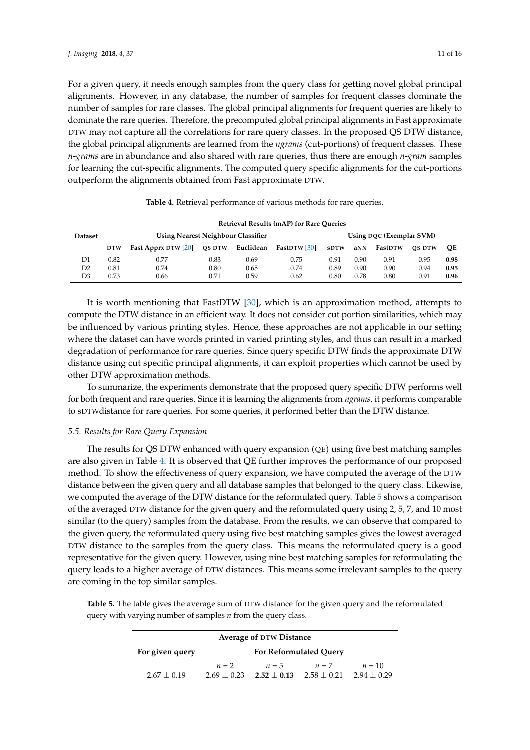For a given query, it needs enough samples from the query class for getting novel global principal alignments. However, in any database, the number of samples for frequent classes dominate the number of samples for rare classes. The global principal alignments for frequent queries are likely to dominate the rare queries. Therefore, the precomputed global principal alignments in Fast approximate DTW may not capture all the correlations for rare query classes. In the proposed QS DTW distance, the global principal alignments are learned from the *ngrams* (cut-portions) of frequent classes. These *n-grams* are in abundance and also shared with rare queries, thus there are enough *n-gram* samples for learning the cut-specific alignments. The computed query specific alignments for the cut-portions outperform the alignments obtained from Fast approximate DTW.

|                | <b>Retrieval Results (mAP) for Rare Oueries</b>                       |                     |        |           |                     |             |      |                |               |      |
|----------------|-----------------------------------------------------------------------|---------------------|--------|-----------|---------------------|-------------|------|----------------|---------------|------|
| <b>Dataset</b> | <b>Using Nearest Neighbour Classifier</b><br>Using DQC (Exemplar SVM) |                     |        |           |                     |             |      |                |               |      |
|                | <b>DTW</b>                                                            | Fast Apprx DTW [20] | OS DTW | Euclidean | <b>FastDTW</b> [30] | <b>SDTW</b> | aNN  | <b>FastDTW</b> | <b>OS DTW</b> | OЕ   |
| D1             | 0.82                                                                  | 0.77                | 0.83   | 0.69      | 0.75                | 0.91        | 0.90 | 0.91           | 0.95          | 0.98 |
| D2             | 0.81                                                                  | 0.74                | 0.80   | 0.65      | 0.74                | 0.89        | 0.90 | 0.90           | 0.94          | 0.95 |
| D3             | 0.73                                                                  | 0.66                | 0.71   | 0.59      | 0.62                | 0.80        | 0.78 | 0.80           | 0.91          | 0.96 |

**Table 4.** Retrieval performance of various methods for rare queries.

It is worth mentioning that FastDTW [30], which is an approximation method, attempts to compute the DTW distance in an efficient way. It does not consider cut portion similarities, which may be influenced by various printing styles. Hence, these approaches are not applicable in our setting where the dataset can have words printed in varied printing styles, and thus can result in a marked degradation of performance for rare queries. Since query specific DTW finds the approximate DTW distance using cut specific principal alignments, it can exploit properties which cannot be used by other DTW approximation methods.

To summarize, the experiments demonstrate that the proposed query specific DTW performs well for both frequent and rare queries. Since it is learning the alignments from *ngrams*, it performs comparable to sDTWdistance for rare queries. For some queries, it performed better than the DTW distance.

### *5.5. Results for Rare Query Expansion*

The results for QS DTW enhanced with query expansion (QE) using five best matching samples are also given in Table 4. It is observed that QE further improves the performance of our proposed method. To show the effectiveness of query expansion, we have computed the average of the DTW distance between the given query and all database samples that belonged to the query class. Likewise, we computed the average of the DTW distance for the reformulated query. Table 5 shows a comparison of the averaged DTW distance for the given query and the reformulated query using 2, 5, 7, and 10 most similar (to the query) samples from the database. From the results, we can observe that compared to the given query, the reformulated query using five best matching samples gives the lowest averaged DTW distance to the samples from the query class. This means the reformulated query is a good representative for the given query. However, using nine best matching samples for reformulating the query leads to a higher average of DTW distances. This means some irrelevant samples to the query are coming in the top similar samples.

**Table 5.** The table gives the average sum of DTW distance for the given query and the reformulated query with varying number of samples *n* from the query class.

| <b>Average of DTW Distance</b> |                               |                             |               |               |  |  |
|--------------------------------|-------------------------------|-----------------------------|---------------|---------------|--|--|
| For given query                | <b>For Reformulated Query</b> |                             |               |               |  |  |
|                                | $n=2$                         | $n=5$                       | $n=7$         | $n=10$        |  |  |
| $2.67 + 0.19$                  |                               | $2.69 + 0.23$ $2.52 + 0.13$ | $2.58 + 0.21$ | $2.94 + 0.29$ |  |  |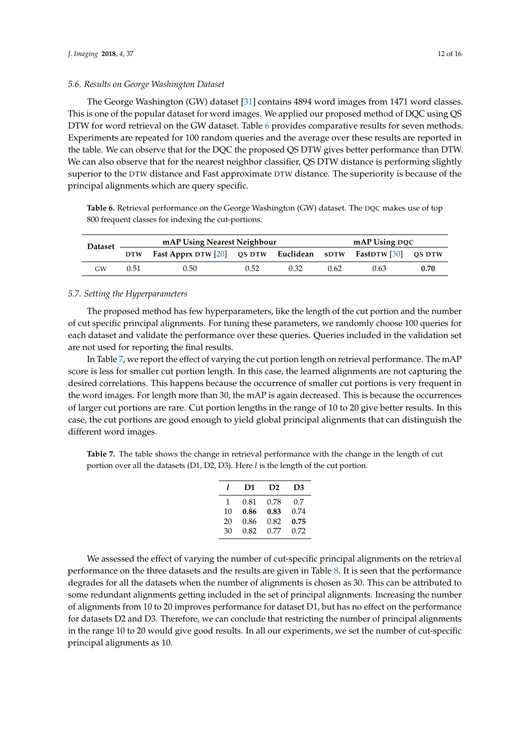### *5.6. Results on George Washington Dataset*

The George Washington (GW) dataset [31] contains 4894 word images from 1471 word classes. This is one of the popular dataset for word images. We applied our proposed method of DQC using QS DTW for word retrieval on the GW dataset. Table 6 provides comparative results for seven methods. Experiments are repeated for 100 random queries and the average over these results are reported in the table. We can observe that for the DQC the proposed QS DTW gives better performance than DTW. We can also observe that for the nearest neighbor classifier, QS DTW distance is performing slightly superior to the DTW distance and Fast approximate DTW distance. The superiority is because of the principal alignments which are query specific.

**Table 6.** Retrieval performance on the George Washington (GW) dataset. The DQC makes use of top 800 frequent classes for indexing the cut-portions.

| <b>Dataset</b> | mAP Using Nearest Neighbour |                                                               |      |      |      | mAP Using DOC |      |  |  |
|----------------|-----------------------------|---------------------------------------------------------------|------|------|------|---------------|------|--|--|
|                | <b>DTW</b>                  | Fast Apprx DTW [20] QS DTW Euclidean SDTW FastDTW [30] QS DTW |      |      |      |               |      |  |  |
| GW             | 0.51                        | $0.50 -$                                                      | 0.52 | 0.32 | 0.62 | 0.63          | 0.70 |  |  |

#### *5.7. Setting the Hyperparameters*

The proposed method has few hyperparameters, like the length of the cut portion and the number of cut specific principal alignments. For tuning these parameters, we randomly choose 100 queries for each dataset and validate the performance over these queries. Queries included in the validation set are not used for reporting the final results.

In Table 7, we report the effect of varying the cut portion length on retrieval performance. The mAP score is less for smaller cut portion length. In this case, the learned alignments are not capturing the desired correlations. This happens because the occurrence of smaller cut portions is very frequent in the word images. For length more than 30, the mAP is again decreased. This is because the occurrences of larger cut portions are rare. Cut portion lengths in the range of 10 to 20 give better results. In this case, the cut portions are good enough to yield global principal alignments that can distinguish the different word images.

**Table 7.** The table shows the change in retrieval performance with the change in the length of cut portion over all the datasets (D1, D2, D3). Here *l* is the length of the cut portion.

| 1  | D1   | D <sub>2</sub> | D3   |
|----|------|----------------|------|
| 1  | 0.81 | 0.78           | 0.7  |
| 10 | 0.86 | 0.83           | 0.74 |
| 20 | 0.86 | 0.82           | 0.75 |
| 30 | 0.82 | 0.77           | 0.72 |

We assessed the effect of varying the number of cut-specific principal alignments on the retrieval performance on the three datasets and the results are given in Table 8. It is seen that the performance degrades for all the datasets when the number of alignments is chosen as 30. This can be attributed to some redundant alignments getting included in the set of principal alignments. Increasing the number of alignments from 10 to 20 improves performance for dataset D1, but has no effect on the performance for datasets D2 and D3. Therefore, we can conclude that restricting the number of principal alignments in the range 10 to 20 would give good results. In all our experiments, we set the number of cut-specific principal alignments as 10.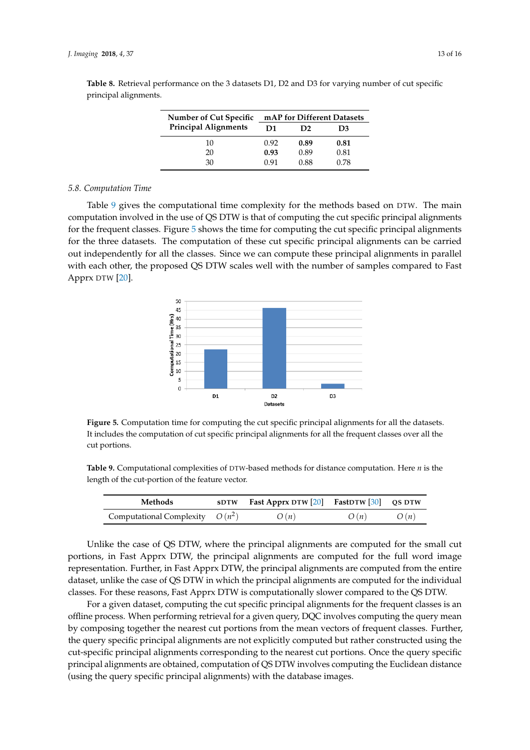| Number of Cut Specific      | mAP for Different Datasets |                |      |  |  |
|-----------------------------|----------------------------|----------------|------|--|--|
| <b>Principal Alignments</b> | D1                         | D <sub>2</sub> | D3   |  |  |
| 10                          | 0.92                       | 0.89           | 0.81 |  |  |
| 20                          | 0.93                       | 0.89           | 0.81 |  |  |
| 30                          | O 91                       | 0.88           | 0.78 |  |  |

**Table 8.** Retrieval performance on the 3 datasets D1, D2 and D3 for varying number of cut specific principal alignments.

#### *5.8. Computation Time*

Table 9 gives the computational time complexity for the methods based on DTW. The main computation involved in the use of QS DTW is that of computing the cut specific principal alignments for the frequent classes. Figure 5 shows the time for computing the cut specific principal alignments for the three datasets. The computation of these cut specific principal alignments can be carried out independently for all the classes. Since we can compute these principal alignments in parallel with each other, the proposed QS DTW scales well with the number of samples compared to Fast Apprx DTW [20].



**Figure 5.** Computation time for computing the cut specific principal alignments for all the datasets. It includes the computation of cut specific principal alignments for all the frequent classes over all the cut portions.

**Table 9.** Computational complexities of DTW-based methods for distance computation. Here *n* is the length of the cut-portion of the feature vector.

| Methods                           | sDTW Fast Apprx DTW $[20]$ FastDTW $[30]$ QS DTW |      |      |
|-----------------------------------|--------------------------------------------------|------|------|
| Computational Complexity $O(n^2)$ | O(n)                                             | O(n) | O(n) |

Unlike the case of QS DTW, where the principal alignments are computed for the small cut portions, in Fast Apprx DTW, the principal alignments are computed for the full word image representation. Further, in Fast Apprx DTW, the principal alignments are computed from the entire dataset, unlike the case of QS DTW in which the principal alignments are computed for the individual classes. For these reasons, Fast Apprx DTW is computationally slower compared to the QS DTW.

For a given dataset, computing the cut specific principal alignments for the frequent classes is an offline process. When performing retrieval for a given query, DQC involves computing the query mean by composing together the nearest cut portions from the mean vectors of frequent classes. Further, the query specific principal alignments are not explicitly computed but rather constructed using the cut-specific principal alignments corresponding to the nearest cut portions. Once the query specific principal alignments are obtained, computation of QS DTW involves computing the Euclidean distance (using the query specific principal alignments) with the database images.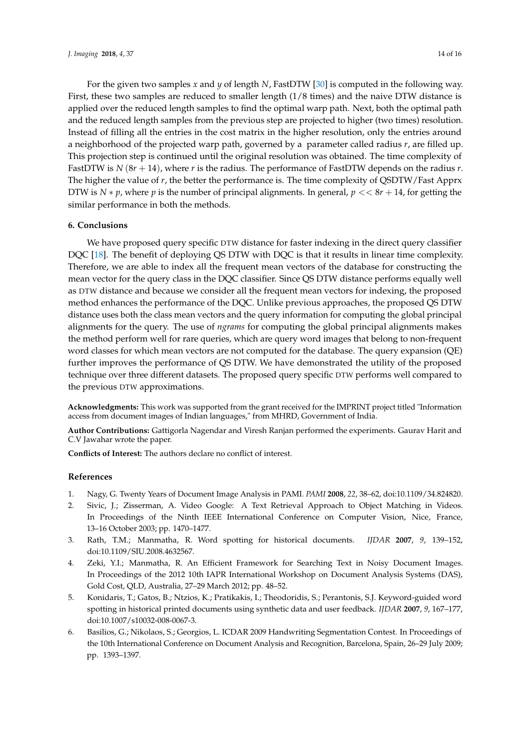For the given two samples *x* and *y* of length *N*, FastDTW [30] is computed in the following way. First, these two samples are reduced to smaller length (1/8 times) and the naive DTW distance is applied over the reduced length samples to find the optimal warp path. Next, both the optimal path and the reduced length samples from the previous step are projected to higher (two times) resolution. Instead of filling all the entries in the cost matrix in the higher resolution, only the entries around a neighborhood of the projected warp path, governed by a parameter called radius *r*, are filled up. This projection step is continued until the original resolution was obtained. The time complexity of FastDTW is *N* (8*r* + 14), where *r* is the radius. The performance of FastDTW depends on the radius *r*. The higher the value of *r*, the better the performance is. The time complexity of QSDTW/Fast Apprx DTW is  $N * p$ , where  $p$  is the number of principal alignments. In general,  $p \ll 8r + 14$ , for getting the similar performance in both the methods.

# **6. Conclusions**

We have proposed query specific DTW distance for faster indexing in the direct query classifier DQC [18]. The benefit of deploying QS DTW with DQC is that it results in linear time complexity. Therefore, we are able to index all the frequent mean vectors of the database for constructing the mean vector for the query class in the DQC classifier. Since QS DTW distance performs equally well as DTW distance and because we consider all the frequent mean vectors for indexing, the proposed method enhances the performance of the DQC. Unlike previous approaches, the proposed QS DTW distance uses both the class mean vectors and the query information for computing the global principal alignments for the query. The use of *ngrams* for computing the global principal alignments makes the method perform well for rare queries, which are query word images that belong to non-frequent word classes for which mean vectors are not computed for the database. The query expansion (QE) further improves the performance of QS DTW. We have demonstrated the utility of the proposed technique over three different datasets. The proposed query specific DTW performs well compared to the previous DTW approximations.

**Acknowledgments:** This work was supported from the grant received for the IMPRINT project titled "Information access from document images of Indian languages," from MHRD, Government of India.

**Author Contributions:** Gattigorla Nagendar and Viresh Ranjan performed the experiments. Gaurav Harit and C.V Jawahar wrote the paper.

**Conflicts of Interest:** The authors declare no conflict of interest.

#### **References**

- 1. Nagy, G. Twenty Years of Document Image Analysis in PAMI. *PAMI* **2008**, *22*, 38–62, doi:10.1109/34.824820.
- 2. Sivic, J.; Zisserman, A. Video Google: A Text Retrieval Approach to Object Matching in Videos. In Proceedings of the Ninth IEEE International Conference on Computer Vision, Nice, France, 13–16 October 2003; pp. 1470–1477.
- 3. Rath, T.M.; Manmatha, R. Word spotting for historical documents. *IJDAR* **2007**, *9*, 139–152, doi:10.1109/SIU.2008.4632567.
- 4. Zeki, Y.I.; Manmatha, R. An Efficient Framework for Searching Text in Noisy Document Images. In Proceedings of the 2012 10th IAPR International Workshop on Document Analysis Systems (DAS), Gold Cost, QLD, Australia, 27–29 March 2012; pp. 48–52.
- 5. Konidaris, T.; Gatos, B.; Ntzios, K.; Pratikakis, I.; Theodoridis, S.; Perantonis, S.J. Keyword-guided word spotting in historical printed documents using synthetic data and user feedback. *IJDAR* **2007**, *9*, 167–177, doi:10.1007/s10032-008-0067-3.
- 6. Basilios, G.; Nikolaos, S.; Georgios, L. ICDAR 2009 Handwriting Segmentation Contest. In Proceedings of the 10th International Conference on Document Analysis and Recognition, Barcelona, Spain, 26–29 July 2009; pp. 1393–1397.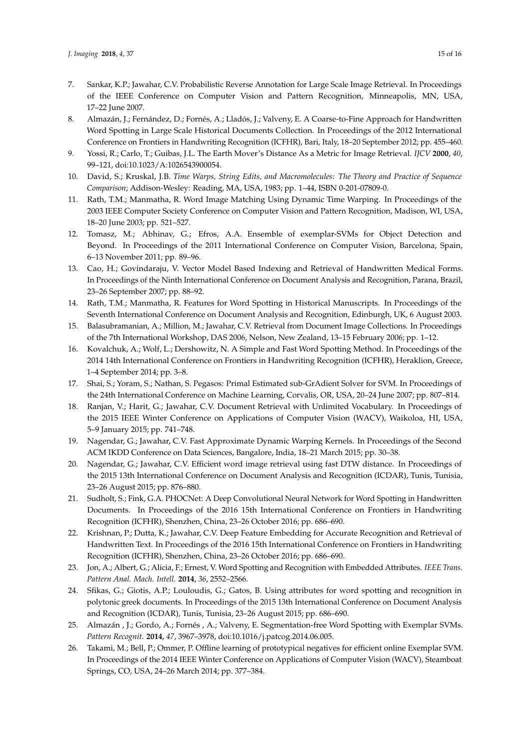- 7. Sankar, K.P.; Jawahar, C.V. Probabilistic Reverse Annotation for Large Scale Image Retrieval. In Proceedings of the IEEE Conference on Computer Vision and Pattern Recognition, Minneapolis, MN, USA, 17–22 June 2007.
- 8. Almazán, J.; Fernández, D.; Fornés, A.; Lladós, J.; Valveny, E. A Coarse-to-Fine Approach for Handwritten Word Spotting in Large Scale Historical Documents Collection. In Proceedings of the 2012 International Conference on Frontiers in Handwriting Recognition (ICFHR), Bari, Italy, 18–20 September 2012; pp. 455–460.
- 9. Yossi, R.; Carlo, T.; Guibas, J.L. The Earth Mover's Distance As a Metric for Image Retrieval. *IJCV* **2000**, *40*, 99–121, doi:10.1023/A:1026543900054.
- 10. David, S.; Kruskal, J.B. *Time Warps, String Edits, and Macromolecules: The Theory and Practice of Sequence Comparison*; Addison-Wesley: Reading, MA, USA, 1983; pp. 1–44, ISBN 0-201-07809-0.
- 11. Rath, T.M.; Manmatha, R. Word Image Matching Using Dynamic Time Warping. In Proceedings of the 2003 IEEE Computer Society Conference on Computer Vision and Pattern Recognition, Madison, WI, USA, 18–20 June 2003; pp. 521–527.
- 12. Tomasz, M.; Abhinav, G.; Efros, A.A. Ensemble of exemplar-SVMs for Object Detection and Beyond. In Proceedings of the 2011 International Conference on Computer Vision, Barcelona, Spain, 6–13 November 2011; pp. 89–96.
- 13. Cao, H.; Govindaraju, V. Vector Model Based Indexing and Retrieval of Handwritten Medical Forms. In Proceedings of the Ninth International Conference on Document Analysis and Recognition, Parana, Brazil, 23–26 September 2007; pp. 88–92.
- 14. Rath, T.M.; Manmatha, R. Features for Word Spotting in Historical Manuscripts. In Proceedings of the Seventh International Conference on Document Analysis and Recognition, Edinburgh, UK, 6 August 2003.
- 15. Balasubramanian, A.; Million, M.; Jawahar, C.V. Retrieval from Document Image Collections. In Proceedings of the 7th International Workshop, DAS 2006, Nelson, New Zealand, 13–15 February 2006; pp. 1–12.
- 16. Kovalchuk, A.; Wolf, L.; Dershowitz, N. A Simple and Fast Word Spotting Method. In Proceedings of the 2014 14th International Conference on Frontiers in Handwriting Recognition (ICFHR), Heraklion, Greece, 1–4 September 2014; pp. 3–8.
- 17. Shai, S.; Yoram, S.; Nathan, S. Pegasos: Primal Estimated sub-GrAdient Solver for SVM. In Proceedings of the 24th International Conference on Machine Learning, Corvalis, OR, USA, 20–24 June 2007; pp. 807–814.
- 18. Ranjan, V.; Harit, G.; Jawahar, C.V. Document Retrieval with Unlimited Vocabulary. In Proceedings of the 2015 IEEE Winter Conference on Applications of Computer Vision (WACV), Waikoloa, HI, USA, 5–9 January 2015; pp. 741–748.
- 19. Nagendar, G.; Jawahar, C.V. Fast Approximate Dynamic Warping Kernels. In Proceedings of the Second ACM IKDD Conference on Data Sciences, Bangalore, India, 18–21 March 2015; pp. 30–38.
- 20. Nagendar, G.; Jawahar, C.V. Efficient word image retrieval using fast DTW distance. In Proceedings of the 2015 13th International Conference on Document Analysis and Recognition (ICDAR), Tunis, Tunisia, 23–26 August 2015; pp. 876–880.
- 21. Sudholt, S.; Fink, G.A. PHOCNet: A Deep Convolutional Neural Network for Word Spotting in Handwritten Documents. In Proceedings of the 2016 15th International Conference on Frontiers in Handwriting Recognition (ICFHR), Shenzhen, China, 23–26 October 2016; pp. 686–690.
- 22. Krishnan, P.; Dutta, K.; Jawahar, C.V. Deep Feature Embedding for Accurate Recognition and Retrieval of Handwritten Text. In Proceedings of the 2016 15th International Conference on Frontiers in Handwriting Recognition (ICFHR), Shenzhen, China, 23–26 October 2016; pp. 686–690.
- 23. Jon, A.; Albert, G.; Alicia, F.; Ernest, V. Word Spotting and Recognition with Embedded Attributes. *IEEE Trans. Pattern Anal. Mach. Intell.* **2014**, *36*, 2552–2566.
- 24. Sfikas, G.; Giotis, A.P.; Louloudis, G.; Gatos, B. Using attributes for word spotting and recognition in polytonic greek documents. In Proceedings of the 2015 13th International Conference on Document Analysis and Recognition (ICDAR), Tunis, Tunisia, 23–26 August 2015; pp. 686–690.
- 25. Almazán , J.; Gordo, A.; Fornés , A.; Valveny, E. Segmentation-free Word Spotting with Exemplar SVMs. *Pattern Recognit.* **2014**, *47*, 3967–3978, doi:10.1016/j.patcog.2014.06.005.
- 26. Takami, M.; Bell, P.; Ommer, P. Offline learning of prototypical negatives for efficient online Exemplar SVM. In Proceedings of the 2014 IEEE Winter Conference on Applications of Computer Vision (WACV), Steamboat Springs, CO, USA, 24–26 March 2014; pp. 377–384.